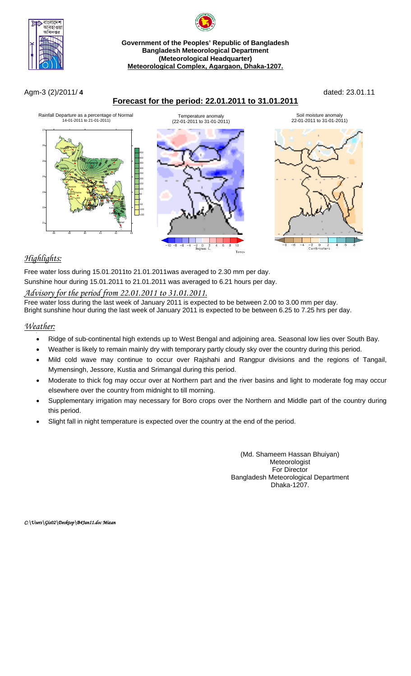

# **Government of the Peoples' Republic of Bangladesh Bangladesh Meteorological Department (Meteorological Headquarter) Meteorological Complex, Agargaon, Dhaka-1207.**

# Agm-3 (2)/2011/ **4** dated: 23.01.11





# *Highlights:*

Free water loss during 15.01.2011to 21.01.2011was averaged to 2.30 mm per day.

Sunshine hour during 15.01.2011 to 21.01.2011 was averaged to 6.21 hours per day.

### *Advisory for the period from 22.01.2011 to 31.01.2011.*

Free water loss during the last week of January 2011 is expected to be between 2.00 to 3.00 mm per day. Bright sunshine hour during the last week of January 2011 is expected to be between 6.25 to 7.25 hrs per day.

# *Weather:*

- Ridge of sub-continental high extends up to West Bengal and adjoining area. Seasonal low lies over South Bay.
- Weather is likely to remain mainly dry with temporary partly cloudy sky over the country during this period.
- Mild cold wave may continue to occur over Rajshahi and Rangpur divisions and the regions of Tangail, Mymensingh, Jessore, Kustia and Srimangal during this period.
- Moderate to thick fog may occur over at Northern part and the river basins and light to moderate fog may occur elsewhere over the country from midnight to till morning.
- Supplementary irrigation may necessary for Boro crops over the Northern and Middle part of the country during this period.
- Slight fall in night temperature is expected over the country at the end of the period.

(Md. Shameem Hassan Bhuiyan) Meteorologist For Director Bangladesh Meteorological Department Dhaka-1207.

*C:\Users\Gis02\Desktop\B4Jan11.doc Mizan*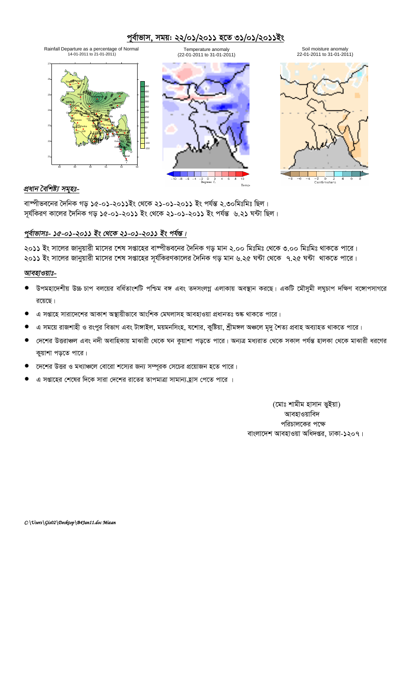# পূর্বাভাস, সময়: ২২/০১/২০১১ হতে ৩১/০১/২০১১ইং



### *প্ৰধান বৈশিষ্ট্য সমূহঃ-*

বাষ্পীভবনের দৈনিক গড় ১৫-০১-২০১১ইং থেকে ২১-০১-২০১১ ইং পর্যন্ত ২.৩০মিঃমিঃ ছিল। সূর্যকিরণ কালের দৈনিক গড় ১৫-০১-২০১১ ইং থেকে ২১-০১-২০১১ ইং পর্যন্ত ৬.২১ ঘন্টা ছিল।

# পূৰ্বাভাসঃ- ১৫-০১-২০১১ ইং থেকে ২১-০১-২০১১ ইং পৰ্যন্ত।

২০১১ ইং সালের জানুয়ারী মাসের শেষ সপ্তাহের বাষ্পীভবনের দৈনিক গড় মান ২.০০ মিঃমিঃ থেকে ৩.০০ মিঃমিঃ থাকতে পারে। ২০১১ ইং সালের জানুয়ারী মাসের শেষ সপ্তাহের সূর্যকিরণকালের দৈনিক গড় মান ৬.২৫ ঘন্টা থেকে ৭.২৫ ঘন্টা থাকতে পারে।

### *আবহাওয়াঃ-*

- উপমহাদেশীয় উচ্চ চাপ বলয়ের বর্ধিতাংশটি পশ্চিম বঙ্গ এবং তদসংলগ্ন এলাকায় অবস্থান করছে। একটি মৌসুমী লঘুচাপ দক্ষিণ বঙ্গোপসাগরে রয়েছে।
- এ সপ্তাহে সারাদেশের আকাশ অস্থায়ীভাবে আংশিক মেঘলাসহ আবহাওয়া প্রধানতঃ শুষ্ক থাকতে পারে।
- এ সময়ে রাজশাহী ও রংপুর বিভাগ এবং টাঙ্গাইল, ময়মনসিংহ, যশোর, কুষ্টিয়া, শ্রীমঙ্গল অঞ্চলে মৃদু শৈত্য প্রবাহ অব্যাহত থাকতে পারে।
- দেশের উত্তরাঞ্চল এবং নদী অবাহিকায় মাঝারী থেকে ঘন কুয়াশা পড়তে পারে। অন্যত্র মধ্যরাত থেকে সকাল পর্যন্ত হালকা থেকে মাঝারী ধরণের কুয়াশা পড়তে পারে।
- কেশের উত্তর ও মধ্যাঞ্চলে বোরো শস্যের জন্য সম্পূরক সেচের প্রয়োজন হতে পারে।
- এ সপ্তাহের শেষের দিকে সারা দেশের রাতের তাপমাত্রা সামান্য হ্রাস পেতে পারে ।

(মোঃ শামীম হাসান ভইয়া) আবহাওয়াবিদ পরিচালকের পক্ষে বাংলাদেশ আবহাওয়া অধিদপ্তর, ঢাকা-১২০৭।

*C:\Users\Gis02\Desktop\B4Jan11.doc Mizan*